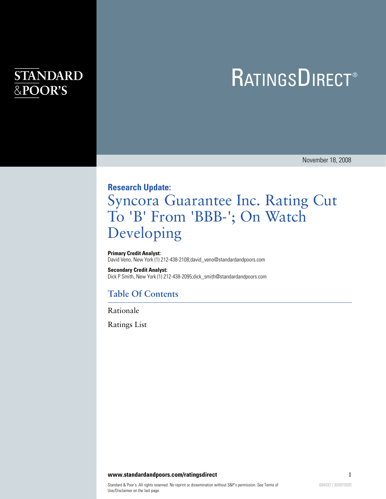## **STANDARD** &POOR'S

# **RATINGSDIRECT®**

November 18, 2008

### **Research Update:**

# Syncora Guarantee Inc. Rating Cut To 'B' From 'BBB-'; On Watch Developing

#### **Primary Credit Analyst:**

David Veno, New York (1) 212-438-2108;david\_veno@standardandpoors.com

#### **Secondary Credit Analyst:**

Dick P Smith, New York (1) 212-438-2095;dick\_smith@standardandpoors.com

### **Table Of Contents**

[Rationale](#page-1-0)

[Ratings List](#page-1-1)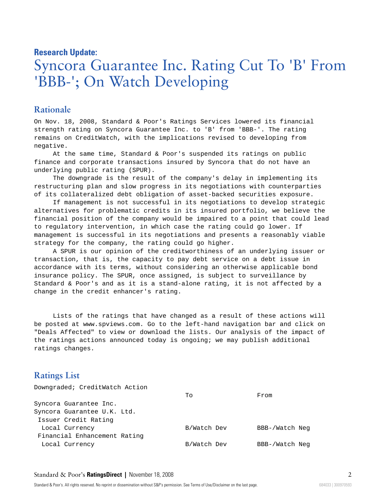### **Research Update:**

# Syncora Guarantee Inc. Rating Cut To 'B' From 'BBB-'; On Watch Developing

#### <span id="page-1-0"></span>**Rationale**

On Nov. 18, 2008, Standard & Poor's Ratings Services lowered its financial strength rating on Syncora Guarantee Inc. to 'B' from 'BBB-'. The rating remains on CreditWatch, with the implications revised to developing from negative.

At the same time, Standard & Poor's suspended its ratings on public finance and corporate transactions insured by Syncora that do not have an underlying public rating (SPUR).

The downgrade is the result of the company's delay in implementing its restructuring plan and slow progress in its negotiations with counterparties of its collateralized debt obligation of asset-backed securities exposure.

If management is not successful in its negotiations to develop strategic alternatives for problematic credits in its insured portfolio, we believe the financial position of the company would be impaired to a point that could lead to regulatory intervention, in which case the rating could go lower. If management is successful in its negotiations and presents a reasonably viable strategy for the company, the rating could go higher.

A SPUR is our opinion of the creditworthiness of an underlying issuer or transaction, that is, the capacity to pay debt service on a debt issue in accordance with its terms, without considering an otherwise applicable bond insurance policy. The SPUR, once assigned, is subject to surveillance by Standard & Poor's and as it is a stand-alone rating, it is not affected by a change in the credit enhancer's rating.

Lists of the ratings that have changed as a result of these actions will be posted at www.spviews.com. Go to the left-hand navigation bar and click on "Deals Affected" to view or download the lists. Our analysis of the impact of the ratings actions announced today is ongoing; we may publish additional ratings changes.

### <span id="page-1-1"></span>**Ratings List**

| Downgraded; CreditWatch Action |             |                |
|--------------------------------|-------------|----------------|
|                                | To          | From           |
| Syncora Guarantee Inc.         |             |                |
| Syncora Guarantee U.K. Ltd.    |             |                |
| Issuer Credit Rating           |             |                |
| Local Currency                 | B/Watch Dev | BBB-/Watch Neg |
| Financial Enhancement Rating   |             |                |
| Local Currency                 | B/Watch Dev | BBB-/Watch Neg |
|                                |             |                |

#### Standard & Poor's **RatingsDirect |** November 18, 2008 2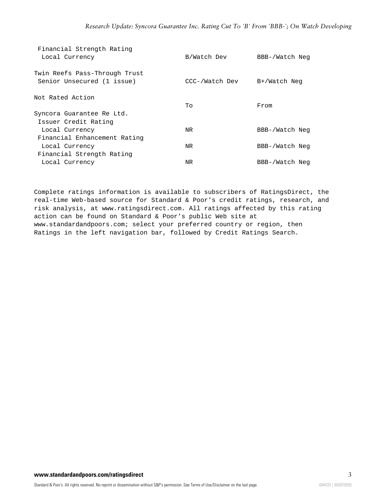| Financial Strength Rating<br>Local Currency                                 | B/Watch Dev    | BBB-/Watch Neg |
|-----------------------------------------------------------------------------|----------------|----------------|
| Twin Reefs Pass-Through Trust<br>Senior Unsecured (1 issue)                 | CCC-/Watch Dev | B+/Watch Neg   |
| Not Rated Action                                                            | To             | From           |
| Syncora Guarantee Re Ltd.<br>Issuer Credit Rating                           |                |                |
| Local Currency                                                              | NR             | BBB-/Watch Neg |
| Financial Enhancement Rating<br>Local Currency<br>Financial Strength Rating | NR             | BBB-/Watch Neg |
| Local Currency                                                              | ΝR             | BBB-/Watch Neg |
|                                                                             |                |                |

Complete ratings information is available to subscribers of RatingsDirect, the real-time Web-based source for Standard & Poor's credit ratings, research, and risk analysis, at www.ratingsdirect.com. All ratings affected by this rating action can be found on Standard & Poor's public Web site at www.standardandpoors.com; select your preferred country or region, then Ratings in the left navigation bar, followed by Credit Ratings Search.